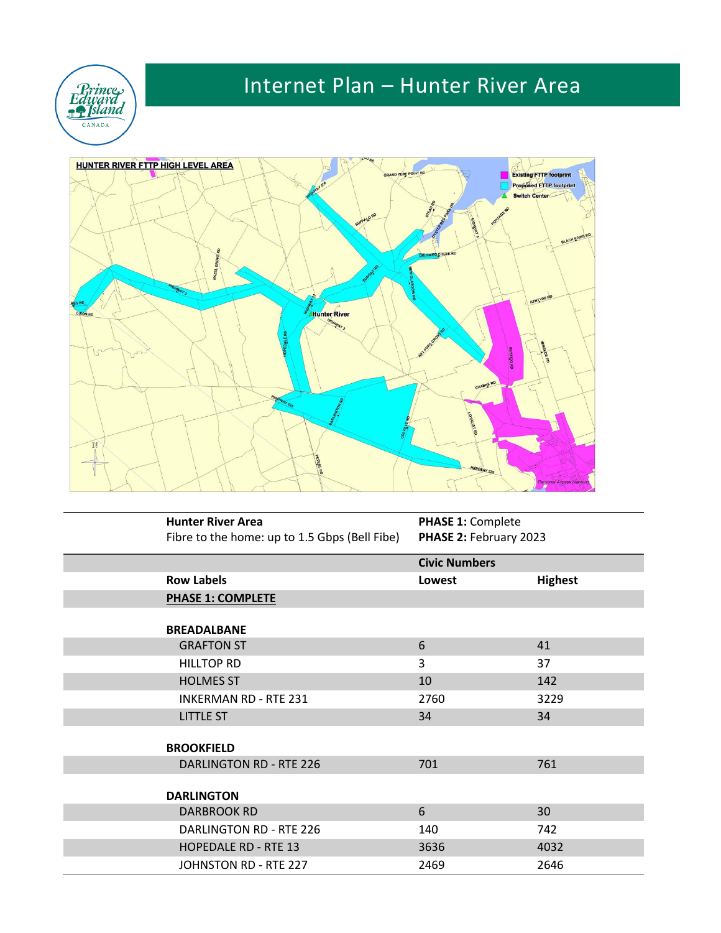

## Internet Plan – Hunter River Area



| <b>Hunter River Area</b>                      | <b>PHASE 1: Complete</b> |                |
|-----------------------------------------------|--------------------------|----------------|
| Fibre to the home: up to 1.5 Gbps (Bell Fibe) | PHASE 2: February 2023   |                |
|                                               | <b>Civic Numbers</b>     |                |
| <b>Row Labels</b>                             | Lowest                   | <b>Highest</b> |
| <b>PHASE 1: COMPLETE</b>                      |                          |                |
|                                               |                          |                |
| <b>BREADALBANE</b>                            |                          |                |
| <b>GRAFTON ST</b>                             | 6                        | 41             |
| <b>HILLTOP RD</b>                             | 3                        | 37             |
| <b>HOLMES ST</b>                              | 10                       | 142            |
| <b>INKERMAN RD - RTE 231</b>                  | 2760                     | 3229           |
| <b>LITTLE ST</b>                              | 34                       | 34             |
|                                               |                          |                |
| <b>BROOKFIELD</b>                             |                          |                |
| <b>DARLINGTON RD - RTE 226</b>                | 701                      | 761            |
|                                               |                          |                |
| <b>DARLINGTON</b>                             |                          |                |
| <b>DARBROOK RD</b>                            | 6                        | 30             |
| DARLINGTON RD - RTE 226                       | 140                      | 742            |
| <b>HOPEDALE RD - RTE 13</b>                   | 3636                     | 4032           |
| JOHNSTON RD - RTE 227                         | 2469                     | 2646           |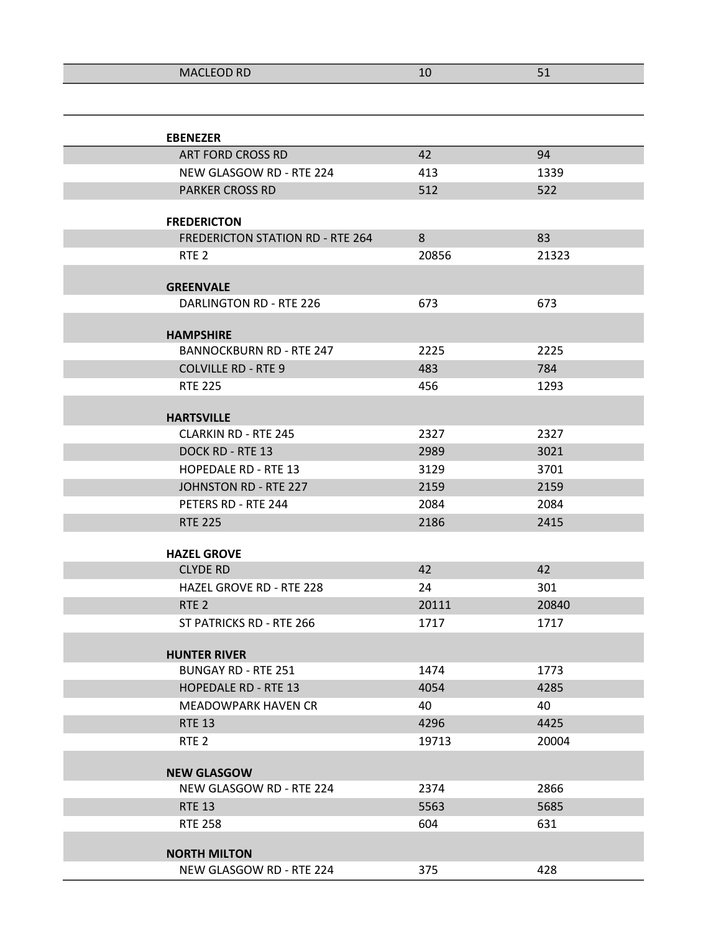| 111C1FCDP<br><b>IVILLED IND</b> | ᅩ |  |
|---------------------------------|---|--|
|                                 |   |  |

| <b>EBENEZER</b>                             |       |       |
|---------------------------------------------|-------|-------|
| ART FORD CROSS RD                           | 42    | 94    |
| NEW GLASGOW RD - RTE 224                    | 413   | 1339  |
| <b>PARKER CROSS RD</b>                      | 512   | 522   |
|                                             |       |       |
| <b>FREDERICTON</b>                          |       |       |
| <b>FREDERICTON STATION RD - RTE 264</b>     | 8     | 83    |
| RTE <sub>2</sub>                            | 20856 | 21323 |
|                                             |       |       |
| <b>GREENVALE</b><br>DARLINGTON RD - RTE 226 | 673   | 673   |
|                                             |       |       |
| <b>HAMPSHIRE</b>                            |       |       |
| <b>BANNOCKBURN RD - RTE 247</b>             | 2225  | 2225  |
| <b>COLVILLE RD - RTE 9</b>                  | 483   | 784   |
| <b>RTE 225</b>                              | 456   | 1293  |
|                                             |       |       |
| <b>HARTSVILLE</b>                           |       |       |
| <b>CLARKIN RD - RTE 245</b>                 | 2327  | 2327  |
| DOCK RD - RTE 13                            | 2989  | 3021  |
| <b>HOPEDALE RD - RTE 13</b>                 | 3129  | 3701  |
| JOHNSTON RD - RTE 227                       | 2159  | 2159  |
| PETERS RD - RTE 244                         | 2084  | 2084  |
| <b>RTE 225</b>                              | 2186  | 2415  |
| <b>HAZEL GROVE</b>                          |       |       |
| <b>CLYDE RD</b>                             | 42    | 42    |
| <b>HAZEL GROVE RD - RTE 228</b>             | 24    | 301   |
| RTE <sub>2</sub>                            | 20111 | 20840 |
| ST PATRICKS RD - RTE 266                    | 1717  | 1717  |
|                                             |       |       |
| <b>HUNTER RIVER</b>                         |       |       |
| <b>BUNGAY RD - RTE 251</b>                  | 1474  | 1773  |
| <b>HOPEDALE RD - RTE 13</b>                 | 4054  | 4285  |
| <b>MEADOWPARK HAVEN CR</b>                  | 40    | 40    |
| <b>RTE 13</b>                               | 4296  | 4425  |
| RTE <sub>2</sub>                            | 19713 | 20004 |
| <b>NEW GLASGOW</b>                          |       |       |
| NEW GLASGOW RD - RTE 224                    | 2374  | 2866  |
| <b>RTE 13</b>                               | 5563  | 5685  |
| <b>RTE 258</b>                              | 604   | 631   |
|                                             |       |       |
| <b>NORTH MILTON</b>                         |       |       |
| NEW GLASGOW RD - RTE 224                    | 375   | 428   |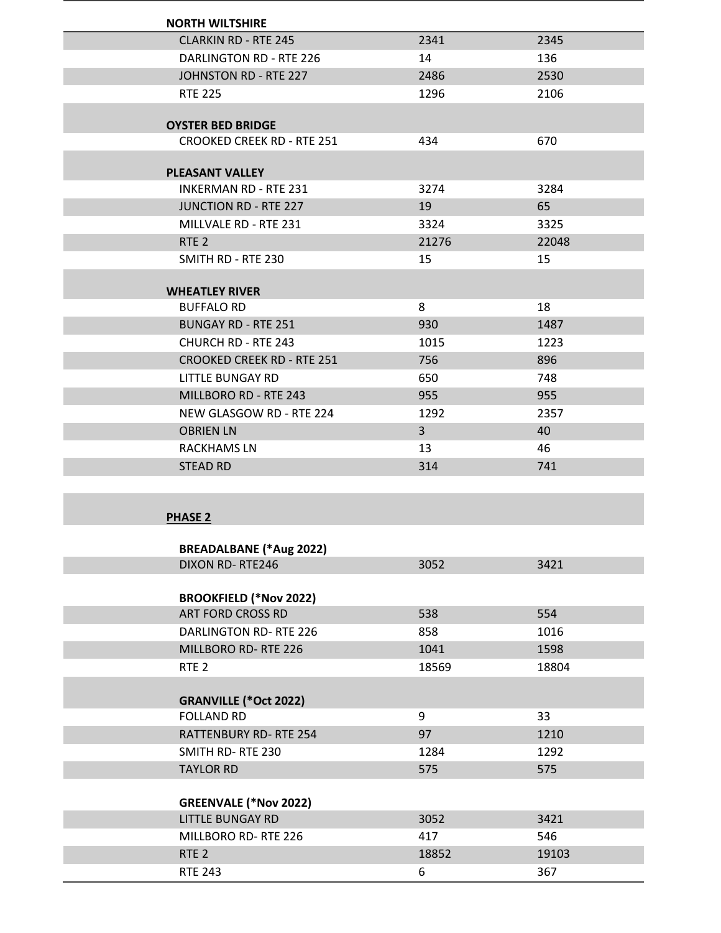| <b>NORTH WILTSHIRE</b>            |                |       |
|-----------------------------------|----------------|-------|
| <b>CLARKIN RD - RTE 245</b>       | 2341           | 2345  |
| DARLINGTON RD - RTE 226           | 14             | 136   |
| JOHNSTON RD - RTE 227             | 2486           | 2530  |
| <b>RTE 225</b>                    | 1296           | 2106  |
|                                   |                |       |
| <b>OYSTER BED BRIDGE</b>          |                |       |
| <b>CROOKED CREEK RD - RTE 251</b> | 434            | 670   |
| <b>PLEASANT VALLEY</b>            |                |       |
| <b>INKERMAN RD - RTE 231</b>      | 3274           | 3284  |
| <b>JUNCTION RD - RTE 227</b>      | 19             | 65    |
| MILLVALE RD - RTE 231             | 3324           | 3325  |
| RTE <sub>2</sub>                  | 21276          | 22048 |
| SMITH RD - RTE 230                | 15             | 15    |
|                                   |                |       |
| <b>WHEATLEY RIVER</b>             |                |       |
| <b>BUFFALO RD</b>                 | 8              | 18    |
| <b>BUNGAY RD - RTE 251</b>        | 930            | 1487  |
| <b>CHURCH RD - RTE 243</b>        | 1015           | 1223  |
| <b>CROOKED CREEK RD - RTE 251</b> | 756            | 896   |
| LITTLE BUNGAY RD                  | 650            | 748   |
| MILLBORO RD - RTE 243             | 955            | 955   |
| NEW GLASGOW RD - RTE 224          | 1292           | 2357  |
| <b>OBRIEN LN</b>                  | 3 <sup>1</sup> | 40    |
| RACKHAMS LN                       | 13             | 46    |
| <b>STEAD RD</b>                   | 314            | 741   |
|                                   |                |       |
|                                   |                |       |
| <b>PHASE 2</b>                    |                |       |
| <b>BREADALBANE (*Aug 2022)</b>    |                |       |
| <b>DIXON RD-RTE246</b>            | 3052           | 3421  |
|                                   |                |       |
| <b>BROOKFIELD (*Nov 2022)</b>     |                |       |
| ART FORD CROSS RD                 | 538            | 554   |
| <b>DARLINGTON RD-RTE 226</b>      | 858            | 1016  |
| MILLBORO RD-RTE 226               | 1041           | 1598  |
|                                   | 1050           | 10001 |

| RTE <sub>2</sub>             | 18569 | 18804 |
|------------------------------|-------|-------|
|                              |       |       |
| <b>GRANVILLE (*Oct 2022)</b> |       |       |
| <b>FOLLAND RD</b>            | 9     | 33    |
| <b>RATTENBURY RD-RTE 254</b> | 97    | 1210  |
| SMITH RD-RTE 230             | 1284  | 1292  |
| <b>TAYLOR RD</b>             | 575   | 575   |
|                              |       |       |
| <b>GREENVALE (*Nov 2022)</b> |       |       |

| S                   |       |       |
|---------------------|-------|-------|
| LITTLE BUNGAY RD    | 3052  | 3421  |
| MILLBORO RD-RTE 226 | 417   | 546   |
| RTE <sub>2</sub>    | 18852 | 19103 |
| RTE 243             | b     | 367   |